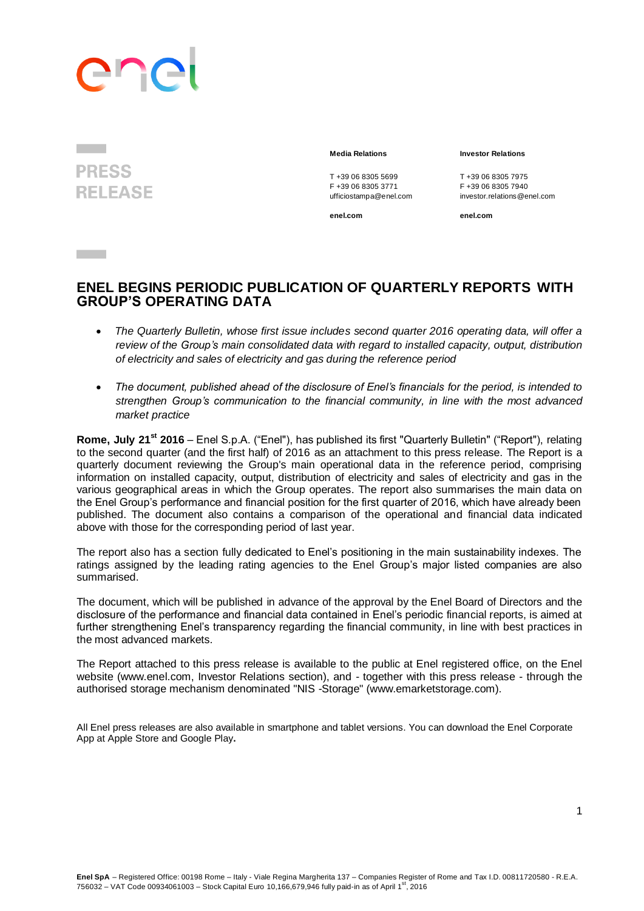# ane

**PRESS RELEASE** 

**Contract Contract** 

#### **Media Relations Investor Relations**

T +39 06 8305 5699<br>
F +39 06 8305 3771<br>
F +39 06 8305 3771<br>
F +39 06 8305 7940 ufficiostampa@enel.com

F +39 06 8305 3771 F +39 06 8305 7940<br>
ufficiostampa@enel.com investor.relations@enel.com

**enel.com enel.com**

# **ENEL BEGINS PERIODIC PUBLICATION OF QUARTERLY REPORTS WITH GROUP'S OPERATING DATA**

- *The Quarterly Bulletin, whose first issue includes second quarter 2016 operating data, will offer a review of the Group's main consolidated data with regard to installed capacity, output, distribution of electricity and sales of electricity and gas during the reference period*
- *The document, published ahead of the disclosure of Enel's financials for the period, is intended to strengthen Group's communication to the financial community, in line with the most advanced market practice*

**Rome, July 21st 2016** – Enel S.p.A. ("Enel"), has published its first "Quarterly Bulletin" ("Report"), relating to the second quarter (and the first half) of 2016 as an attachment to this press release. The Report is a quarterly document reviewing the Group's main operational data in the reference period, comprising information on installed capacity, output, distribution of electricity and sales of electricity and gas in the various geographical areas in which the Group operates. The report also summarises the main data on the Enel Group's performance and financial position for the first quarter of 2016, which have already been published. The document also contains a comparison of the operational and financial data indicated above with those for the corresponding period of last year.

The report also has a section fully dedicated to Enel's positioning in the main sustainability indexes. The ratings assigned by the leading rating agencies to the Enel Group's major listed companies are also summarised.

The document, which will be published in advance of the approval by the Enel Board of Directors and the disclosure of the performance and financial data contained in Enel's periodic financial reports, is aimed at further strengthening Enel's transparency regarding the financial community, in line with best practices in the most advanced markets.

The Report attached to this press release is available to the public at Enel registered office, on the Enel website (www.enel.com, Investor Relations section), and - together with this press release - through the authorised storage mechanism denominated "NIS -Storage" (www.emarketstorage.com).

All Enel press releases are also available in smartphone and tablet versions. You can download the Enel Corporate App at [Apple Store](http://itunes.apple.com/us/app/enel-mobile/id375750732?mt=8) and Google Play**.**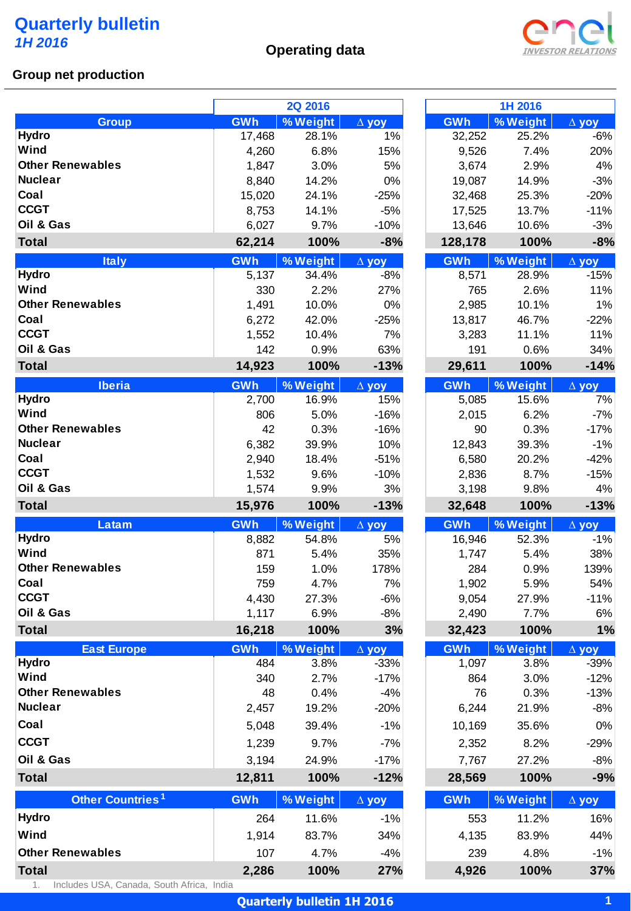# **Operating data**



## **Group net production**

|                                         |              | <b>2Q 2016</b>    |                    |               | 1H 2016           |                       |
|-----------------------------------------|--------------|-------------------|--------------------|---------------|-------------------|-----------------------|
| <b>Group</b>                            | GWh          | % Weight          | $\Delta$ yoy       | GWh           | % Weight          | $\Delta$ yoy          |
| <b>Hydro</b>                            | 17,468       | 28.1%             | 1%                 | 32,252        | 25.2%             | $-6%$                 |
| Wind                                    | 4,260        | 6.8%              | 15%                | 9,526         | 7.4%              | 20%                   |
| <b>Other Renewables</b>                 | 1,847        | 3.0%              | 5%                 | 3,674         | 2.9%              | 4%                    |
| <b>Nuclear</b>                          | 8,840        | 14.2%             | 0%                 | 19,087        | 14.9%             | $-3%$                 |
| Coal                                    | 15,020       | 24.1%             | $-25%$             | 32,468        | 25.3%             | $-20%$                |
| <b>CCGT</b>                             | 8,753        | 14.1%             | $-5%$              | 17,525        | 13.7%             | $-11%$                |
| Oil & Gas                               | 6,027        | 9.7%              | $-10%$             | 13,646        | 10.6%             | $-3%$                 |
| <b>Total</b>                            | 62,214       | 100%              | $-8%$              | 128,178       | 100%              | $-8%$                 |
| <b>Italy</b>                            | GWh          | % Weight          | $\Delta$ yoy       | GWh           | % Weight          | $\Delta$ yoy          |
| <b>Hydro</b>                            | 5,137        | 34.4%             | $-8%$              | 8,571         | 28.9%             | $-15%$                |
| Wind                                    | 330          | 2.2%              | 27%                | 765           | 2.6%              | 11%                   |
| <b>Other Renewables</b>                 | 1,491        | 10.0%             | $0\%$              | 2,985         | 10.1%             | $1\%$                 |
| Coal                                    | 6,272        | 42.0%             | $-25%$             | 13,817        | 46.7%             | $-22%$                |
| <b>CCGT</b>                             | 1,552        | 10.4%             | 7%                 | 3,283         | 11.1%             | 11%                   |
| Oil & Gas                               | 142          | 0.9%              | 63%                | 191           | 0.6%              | 34%                   |
| <b>Total</b>                            | 14,923       | 100%              | $-13%$             | 29,611        | 100%              | $-14%$                |
| <b>Iberia</b>                           | GWh          | % Weight          | $\Delta$ yoy       | GWh           | % Weight          | $\Delta$ yoy          |
| <b>Hydro</b>                            | 2,700        | 16.9%             | 15%                | 5,085         | 15.6%             | 7%                    |
| Wind                                    | 806          | 5.0%              | $-16%$             | 2,015         | 6.2%              | $-7%$                 |
| <b>Other Renewables</b>                 | 42           | 0.3%              | $-16%$             | 90            | 0.3%              | $-17%$                |
| <b>Nuclear</b>                          | 6,382        | 39.9%             | 10%                | 12,843        | 39.3%             | $-1%$                 |
| Coal                                    | 2,940        | 18.4%             | $-51%$             | 6,580         | 20.2%             | $-42%$                |
| <b>CCGT</b>                             | 1,532        | 9.6%              | $-10%$             | 2,836         | 8.7%              | $-15%$                |
| Oil & Gas                               |              |                   |                    |               |                   |                       |
|                                         | 1,574        | 9.9%              | 3%                 | 3,198         | 9.8%              | 4%                    |
| <b>Total</b>                            | 15,976       | 100%              | $-13%$             | 32,648        | 100%              | $-13%$                |
|                                         |              |                   |                    |               |                   |                       |
| Latam<br><b>Hydro</b>                   | GWh<br>8,882 | % Weight<br>54.8% | $\Delta$ yoy<br>5% | GWh<br>16,946 | % Weight<br>52.3% | $\Delta$ yoy<br>$-1%$ |
| Wind                                    | 871          | 5.4%              | 35%                |               | 5.4%              |                       |
| <b>Other Renewables</b>                 | 159          | 1.0%              | 178%               | 1,747<br>284  | 0.9%              | 38%<br>139%           |
| Coal                                    | 759          | 4.7%              | 7%                 | 1,902         | 5.9%              | 54%                   |
| <b>CCGT</b>                             | 4,430        | 27.3%             | $-6%$              | 9,054         | 27.9%             | $-11%$                |
| Oil & Gas                               | 1,117        | 6.9%              | $-8%$              | 2,490         | 7.7%              | 6%                    |
| <b>Total</b>                            | 16,218       | 100%              | 3%                 | 32,423        | 100%              | 1%                    |
| <b>East Europe</b>                      | <b>GWh</b>   | % Weight          | $\Delta$ yoy       | <b>GWh</b>    | % Weight          | $\Delta$ yoy          |
| <b>Hydro</b>                            | 484          | 3.8%              | $-33%$             | 1,097         | 3.8%              | $-39%$                |
| Wind                                    | 340          | 2.7%              | $-17%$             | 864           | 3.0%              | $-12%$                |
| <b>Other Renewables</b>                 | 48           | 0.4%              | $-4%$              | 76            | 0.3%              | $-13%$                |
| <b>Nuclear</b>                          | 2,457        | 19.2%             | $-20%$             | 6,244         | 21.9%             | $-8%$                 |
| Coal                                    | 5,048        | 39.4%             | $-1%$              | 10,169        | 35.6%             | 0%                    |
|                                         |              |                   |                    |               |                   |                       |
| <b>CCGT</b>                             | 1,239        | 9.7%              | $-7%$              | 2,352         | 8.2%              | $-29%$                |
| Oil & Gas                               | 3,194        | 24.9%             | $-17%$             | 7,767         | 27.2%             | $-8%$                 |
| <b>Total</b>                            | 12,811       | 100%              | $-12%$             | 28,569        | 100%              | $-9%$                 |
| Other Countries <sup>1</sup>            | GWh          | % Weight          | $\Delta$ yoy       | GWh           | % Weight          | $\Delta$ yoy          |
| <b>Hydro</b>                            | 264          | 11.6%             | $-1%$              | 553           | 11.2%             | 16%                   |
| Wind                                    | 1,914        | 83.7%             | 34%                |               | 83.9%             | 44%                   |
|                                         |              |                   |                    | 4,135         |                   |                       |
| <b>Other Renewables</b><br><b>Total</b> | 107<br>2,286 | 4.7%<br>100%      | $-4%$<br>27%       | 239<br>4,926  | 4.8%<br>100%      | $-1%$<br>37%          |

|         | 1H 2016  |                         |
|---------|----------|-------------------------|
| GWh     | % Weight | $\Delta$ yoy            |
| 32,252  | 25.2%    | $-6%$                   |
| 9,526   | 7.4%     | 20%                     |
| 3,674   | 2.9%     | 4%                      |
| 19,087  | 14.9%    | -3%                     |
| 32,468  | 25.3%    | $-20%$                  |
| 17,525  | 13.7%    | $-11%$                  |
| 13,646  | 10.6%    | $-3%$                   |
| 128,178 | 100%     | $-8%$                   |
| GWh     | % Weight | $\Delta$ yoy            |
| 8,571   | 28.9%    | $-15%$                  |
| 765     | 2.6%     | 11%                     |
| 2,985   | 10.1%    | 1%                      |
| 13,817  | 46.7%    | $-22%$                  |
| 3,283   | 11.1%    | 11%                     |
| 191     | 0.6%     | 34%                     |
| 29,611  | 100%     | $-14%$                  |
| GWh     | % Weight | $\overline{\Delta}$ yoy |
| 5,085   | 15.6%    | 7%                      |
| 2,015   | 6.2%     | $-7%$                   |
| 90      | 0.3%     | $-17%$                  |
| 12,843  | 39.3%    | $-1%$                   |
| 6,580   | 20.2%    | $-42%$                  |
| 2,836   | 8.7%     | $-15%$                  |
|         |          |                         |
| 3,198   | 9.8%     | 4%                      |
| 32,648  | 100%     | $-13%$                  |
| GWh     | % Weight | $\overline{\Delta}$ yoy |
| 16,946  | 52.3%    | -1%                     |
| 1,747   | 5.4%     | 38%                     |
| 284     | 0.9%     | 139%                    |
| 1,902   | 5.9%     | 54%                     |
| 9,054   | 27.9%    | $-11%$                  |
| 2,490   | 7.7%     | 6%                      |
| 32,423  | 100%     | 1%                      |
| GWh     | % Weight | $\overline{\Delta}$ yoy |
| 1,097   | 3.8%     | $-39%$                  |
| 864     | 3.0%     | -12%                    |
| 76      | 0.3%     | $-13%$                  |
| 6,244   | 21.9%    | -8%                     |
| 10,169  | 35.6%    | 0%                      |
| 2,352   | 8.2%     | $-29%$                  |
| 7,767   | 27.2%    | -8%                     |
| 28,569  | 100%     | $-9%$                   |
| GWh     | % Weight | $\Delta$ yoy            |
| 553     | 11.2%    | 16%                     |
| 4,135   | 83.9%    | 44%                     |

**Quarterly bulletin 1H 2016**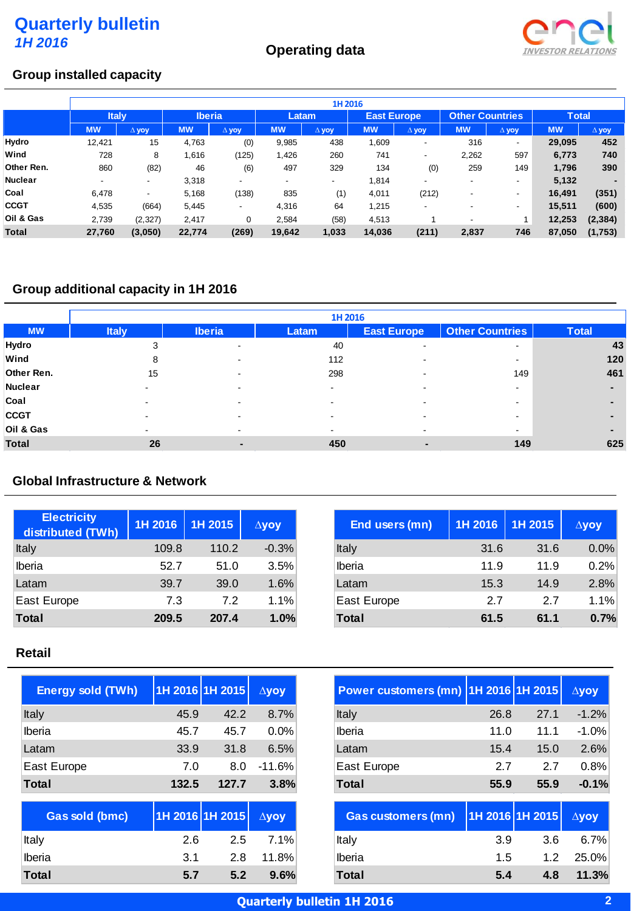# **Operating data**



#### **Group installed capacity**

|                | 1H 2016      |                 |               |                          |                |              |                    |                          |                          |              |              |              |
|----------------|--------------|-----------------|---------------|--------------------------|----------------|--------------|--------------------|--------------------------|--------------------------|--------------|--------------|--------------|
|                | <b>Italy</b> |                 | <b>Iberia</b> |                          | Latam          |              | <b>East Europe</b> |                          | <b>Other Countries</b>   |              | <b>Total</b> |              |
|                | <b>MW</b>    | $\triangle$ yoy | <b>MW</b>     | A yoy                    | <b>MW</b>      | $\Delta$ yoy | <b>MW</b>          | $\Delta$ yoy             | <b>MW</b>                | $\Delta$ yoy | <b>MW</b>    | $\Delta$ yoy |
| Hydro          | 12,421       | 15              | 4,763         | (0)                      | 9,985          | 438          | 1,609              | ۰                        | 316                      |              | 29,095       | 452          |
| Wind           | 728          | 8               | 1,616         | (125)                    | 1,426          | 260          | 741                | ۰                        | 2,262                    | 597          | 6,773        | 740          |
| Other Ren.     | 860          | (82)            | 46            | (6)                      | 497            | 329          | 134                | (0)                      | 259                      | 149          | 1,796        | 390          |
| <b>Nuclear</b> | $\sim$       | ۰.              | 3,318         | $\overline{\phantom{a}}$ | $\blacksquare$ |              | 1,814              | $\overline{\phantom{a}}$ | $\overline{\phantom{a}}$ |              | 5,132        |              |
| Coal           | 6.478        | ۰.              | 5,168         | (138)                    | 835            | (1)          | 4,011              | (212)                    | $\overline{\phantom{a}}$ | ۰            | 16,491       | (351)        |
| <b>CCGT</b>    | 4,535        | (664)           | 5,445         | ٠                        | 4,316          | 64           | 1,215              |                          | $\overline{\phantom{a}}$ |              | 15,511       | (600)        |
| Oil & Gas      | 2,739        | (2, 327)        | 2,417         | 0                        | 2,584          | (58)         | 4,513              |                          | $\overline{\phantom{a}}$ |              | 12,253       | (2, 384)     |
| <b>Total</b>   | 27,760       | (3,050)         | 22,774        | (269)                    | 19,642         | 1,033        | 14,036             | (211)                    | 2,837                    | 746          | 87,050       | (1,753)      |

# **Group additional capacity in 1H 2016**

|              | 1H 2016      |               |                          |                          |                          |              |  |  |  |
|--------------|--------------|---------------|--------------------------|--------------------------|--------------------------|--------------|--|--|--|
| <b>MW</b>    | <b>Italy</b> | <b>Iberia</b> | Latam                    | <b>East Europe</b>       | <b>Other Countries</b>   | <b>Total</b> |  |  |  |
| Hydro        | 3            |               | 40                       | $\overline{\phantom{0}}$ | $\overline{\phantom{a}}$ | 43           |  |  |  |
| Wind         | 8            |               | 112                      | ۰                        | $\overline{\phantom{a}}$ | 120          |  |  |  |
| Other Ren.   | 15           |               | 298                      |                          | 149                      | 461          |  |  |  |
| Nuclear      |              |               | -                        |                          | $\overline{\phantom{a}}$ |              |  |  |  |
| Coal         |              |               | -                        |                          |                          |              |  |  |  |
| <b>CCGT</b>  |              |               | $\overline{\phantom{a}}$ |                          | $\overline{\phantom{a}}$ |              |  |  |  |
| Oil & Gas    |              | -             | $\sim$                   | -                        | $\overline{\phantom{a}}$ |              |  |  |  |
| <b>Total</b> | 26           | ٠             | 450                      | -                        | 149                      | 625          |  |  |  |

#### **Global Infrastructure & Network**

| <b>Electricity</b><br>distributed (TWh) | 1H 2016 | 1H 2015 | $\Delta$ yoy | End users (mn) | 1H 2016 | 1H 2015 |
|-----------------------------------------|---------|---------|--------------|----------------|---------|---------|
| Italy                                   | 109.8   | 110.2   | $-0.3%$      | Italy          | 31.6    |         |
| Iberia                                  | 52.7    | 51.0    | 3.5%         | Iberia         | 11.9    |         |
| Latam                                   | 39.7    | 39.0    | 1.6%         | Latam          | 15.3    |         |
| East Europe                             | 7.3     | 7.2     | 1.1%         | East Europe    | 2.7     |         |
| <b>Total</b>                            | 209.5   | 207.4   | 1.0%         | Total          | 61.5    |         |

### **Retail**

| <b>Energy sold (TWh)</b> | 1H 2016 1H 2015 |       | $\Delta$ yoy |
|--------------------------|-----------------|-------|--------------|
| Italy                    | 45.9            | 42.2  | 8.7%         |
| Iberia                   | 45.7            | 45.7  | $0.0\%$      |
| Latam                    | 33.9            | 31.8  | 6.5%         |
| East Europe              | 7.0             | 8.0   | $-11.6%$     |
| <b>Total</b>             | 132.5           | 127.7 | 3.8%         |
| <b>Gas sold (bmc)</b>    | 1H 2016 1H 2015 |       | $\Delta$ vov |

| <b>Gas sold (bmc)</b> | $1$ H 2016 1H 2015 $\Delta$ yoy |     |       |
|-----------------------|---------------------------------|-----|-------|
| ∣ltalv                | 2.6                             | 2.5 | 7.1%  |
| Iberia                | -3.1                            | 2.8 | 11.8% |
| Total                 | 5.7                             | 5.2 | 9.6%  |

| <b>Power customers (mn)</b> | 1H 2016 1H 2015 |      | $\Delta$ yoy |
|-----------------------------|-----------------|------|--------------|
| Italy                       | 26.8            | 27.1 | $-1.2%$      |
| Iberia                      | 11.0            | 11.1 | $-1.0%$      |
| Latam                       | 15.4            | 15.0 | 2.6%         |
| East Europe                 | 2.7             | 2.7  | 0.8%         |
| <b>Total</b>                | 55.9            | 55.9 | $-0.1%$      |
| <b>Gas customers (mn)</b>   | 1H 2016 1H 2015 |      | $\Delta$ vov |

| <b>UAS CUSCING IS (IIIII)</b> TIM ZUTOTIM ZUTO AVOY |     |     |             |
|-----------------------------------------------------|-----|-----|-------------|
| ∣ltalv                                              | 3.9 | 3.6 | 6.7%        |
| Iberia                                              | 1.5 |     | $1.2$ 25.0% |
| Total                                               | 5.4 | 4.8 | 11.3%       |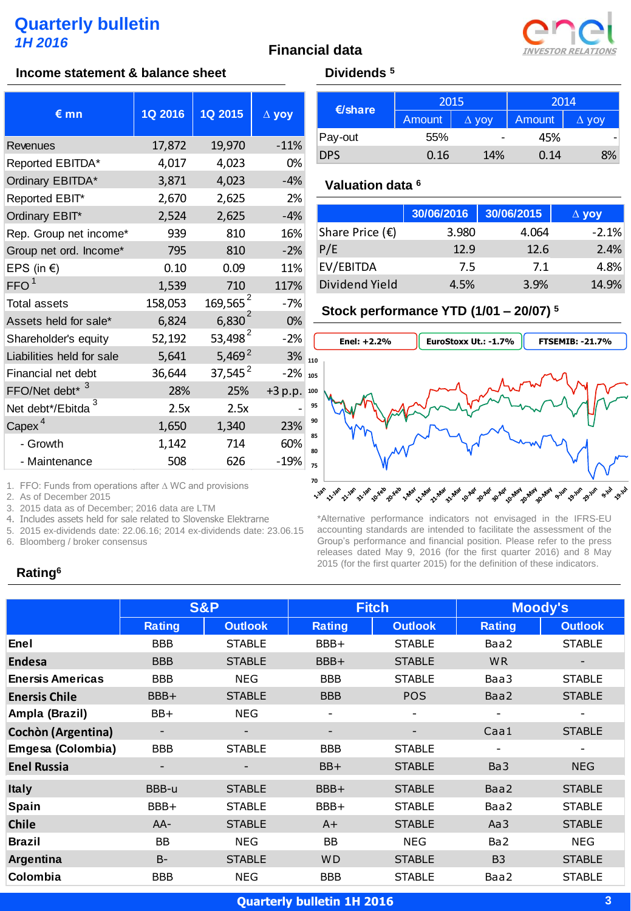



#### **Income statement & balance sheet Dividends** <sup>5</sup>

| $\epsilon$ <sub>mn</sub>    | 1Q 2016 | 1Q 2015              | $\Delta$ yoy |
|-----------------------------|---------|----------------------|--------------|
| Revenues                    | 17,872  | 19,970               | $-11%$       |
| Reported EBITDA*            | 4,017   | 4,023                | 0%           |
| Ordinary EBITDA*            | 3,871   | 4,023                | $-4%$        |
| Reported EBIT*              | 2,670   | 2,625                | 2%           |
| Ordinary EBIT*              | 2,524   | 2,625                | $-4%$        |
| Rep. Group net income*      | 939     | 810                  | 16%          |
| Group net ord. Income*      | 795     | 810                  | $-2%$        |
| EPS (in €)                  | 0.10    | 0.09                 | 11%          |
| FFO <sup>1</sup>            | 1,539   | 710                  | 117%         |
| <b>Total assets</b>         | 158,053 | 169,565 <sup>2</sup> | $-7%$        |
| Assets held for sale*       | 6,824   | $6,830^{2}$          | 0%           |
| Shareholder's equity        | 52,192  | 53,498 <sup>2</sup>  | $-2%$        |
| Liabilities held for sale   | 5,641   | $5,469^2$            | 3%           |
| Financial net debt          | 36,644  | 37,545 <sup>2</sup>  | $-2%$        |
| FFO/Net debt <sup>* 3</sup> | 28%     | 25%                  | $+3 p.p.$    |
| Net debt*/Ebitda            | 2.5x    | 2.5x                 |              |
| Capex <sup>4</sup>          | 1,650   | 1,340                | 23%          |
| - Growth                    | 1,142   | 714                  | 60%          |
| - Maintenance               | 508     | 626                  | $-19%$       |

| $\epsilon$ /share | 2015   |              | 2014   |              |
|-------------------|--------|--------------|--------|--------------|
|                   | Amount | $\Delta$ yoy | Amount | $\Delta$ VOV |
| Pay-out           | 55%    |              | 45%    |              |
| <b>DPS</b>        | 0.16   | 14%          | 0.14   | 8%           |

#### **Valuation data <sup>6</sup>**

|                          | 30/06/2016 | 30/06/2015 | $\Delta$ yoy |
|--------------------------|------------|------------|--------------|
| Share Price $(\epsilon)$ | 3.980      | 4.064      | $-2.1%$      |
| P/E                      | 12.9       | 12.6       | 2.4%         |
| EV/EBITDA                | 7.5        | 7.1        | 4.8%         |
| Dividend Yield           | 4.5%       | 3.9%       | 14.9%        |

#### **Stock performance YTD (1/01 – 20/07) <sup>5</sup>**



1. FFO: Funds from operations after ∆ WC and provisions

2. As of December 2015

3. 2015 data as of December; 2016 data are LTM

4. Includes assets held for sale related to Slovenske Elektrarne

5. 2015 ex-dividends date: 22.06.16; 2014 ex-dividends date: 23.06.15

6. Bloomberg / broker consensus

\*Alternative performance indicators not envisaged in the IFRS-EU accounting standards are intended to facilitate the assessment of the Group's performance and financial position. Please refer to the press releases dated May 9, 2016 (for the first quarter 2016) and 8 May 2015 (for the first quarter 2015) for the definition of these indicators.

# **Rating<sup>6</sup>**

|                         | <b>S&amp;P</b> |                          | <b>Fitch</b>             |                | <b>Moody's</b>  |                |
|-------------------------|----------------|--------------------------|--------------------------|----------------|-----------------|----------------|
|                         | <b>Rating</b>  | <b>Outlook</b>           | <b>Rating</b>            | <b>Outlook</b> | <b>Rating</b>   | <b>Outlook</b> |
| Enel                    | <b>BBB</b>     | <b>STABLE</b>            | BBB+                     | <b>STABLE</b>  | Baa2            | <b>STABLE</b>  |
| <b>Endesa</b>           | <b>BBB</b>     | <b>STABLE</b>            | BBB+                     | <b>STABLE</b>  | <b>WR</b>       |                |
| <b>Enersis Americas</b> | <b>BBB</b>     | <b>NEG</b>               | <b>BBB</b>               | <b>STABLE</b>  | Baa3            | <b>STABLE</b>  |
| <b>Enersis Chile</b>    | BBB+           | <b>STABLE</b>            | <b>BBB</b>               | <b>POS</b>     | Baa2            | <b>STABLE</b>  |
| Ampla (Brazil)          | BB+            | <b>NEG</b>               | $\overline{\phantom{0}}$ |                |                 |                |
| Cochòn (Argentina)      | -              | $\overline{\phantom{a}}$ | -                        |                | Caa1            | <b>STABLE</b>  |
| Emgesa (Colombia)       | <b>BBB</b>     | <b>STABLE</b>            | <b>BBB</b>               | <b>STABLE</b>  |                 |                |
| <b>Enel Russia</b>      |                |                          | BB+                      | <b>STABLE</b>  | Ba <sub>3</sub> | <b>NEG</b>     |
| <b>Italy</b>            | BBB-u          | <b>STABLE</b>            | BBB+                     | <b>STABLE</b>  | Baa2            | <b>STABLE</b>  |
| Spain                   | BBB+           | <b>STABLE</b>            | BBB+                     | <b>STABLE</b>  | Baa2            | <b>STABLE</b>  |
| <b>Chile</b>            | $AA-$          | <b>STABLE</b>            | $A+$                     | <b>STABLE</b>  | Aa3             | <b>STABLE</b>  |
| <b>Brazil</b>           | <b>BB</b>      | <b>NEG</b>               | <b>BB</b>                | <b>NEG</b>     | Ba <sub>2</sub> | <b>NEG</b>     |
| Argentina               | $B -$          | <b>STABLE</b>            | <b>WD</b>                | <b>STABLE</b>  | B <sub>3</sub>  | <b>STABLE</b>  |
| Colombia                | BBB            | <b>NEG</b>               | <b>BBB</b>               | <b>STABLE</b>  | Baa2            | <b>STABLE</b>  |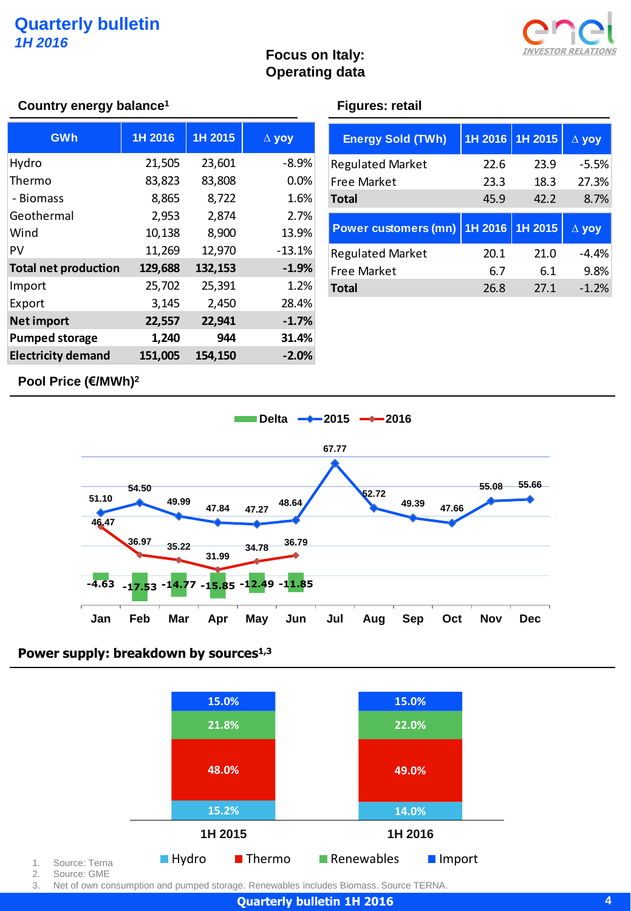

# **Focus on Italy: Operating data**

#### **Country energy balance<sup>1</sup> Figures: retail**

| <b>GWh</b>                  | 1H 2016 | 1H 2015 | $\Delta$ yoy |
|-----------------------------|---------|---------|--------------|
| Hydro                       | 21,505  | 23,601  | $-8.9%$      |
| Thermo                      | 83,823  | 83,808  | 0.0%         |
| - Biomass                   | 8,865   | 8,722   | 1.6%         |
| Geothermal                  | 2,953   | 2,874   | 2.7%         |
| Wind                        | 10,138  | 8,900   | 13.9%        |
| PV                          | 11,269  | 12,970  | $-13.1%$     |
| <b>Total net production</b> | 129,688 | 132,153 | $-1.9%$      |
| Import                      | 25,702  | 25,391  | 1.2%         |
| Export                      | 3,145   | 2,450   | 28.4%        |
| <b>Net import</b>           | 22,557  | 22,941  | $-1.7%$      |
| <b>Pumped storage</b>       | 1,240   | 944     | 31.4%        |
| <b>Electricity demand</b>   | 151,005 | 154,150 | $-2.0%$      |

| <b>Energy Sold (TWh)</b>    | 1H 2016 | 1H 2015 | $\Delta$ yoy |
|-----------------------------|---------|---------|--------------|
| <b>Regulated Market</b>     | 22.6    | 23.9    | $-5.5%$      |
| <b>Free Market</b>          | 23.3    | 18.3    | 27.3%        |
| <b>Total</b>                | 45.9    | 42.2    | 8.7%         |
|                             |         |         |              |
| <b>Power customers (mn)</b> | 1H 2016 | 1H 2015 | $\Delta$ yoy |
| <b>Regulated Market</b>     | 20.1    | 21.0    | $-4.4%$      |
| <b>Free Market</b>          | 6.7     | 6.1     | 9.8%         |

### **Pool Price (€/MWh) 2**



### **Power supply: breakdown by sources1,3**



1. Source: Terna 2. Source: GME

3. Net of own consumption and pumped storage. Renewables includes Biomass. Source TERNA.

**Quarterly bulletin 1H 2016**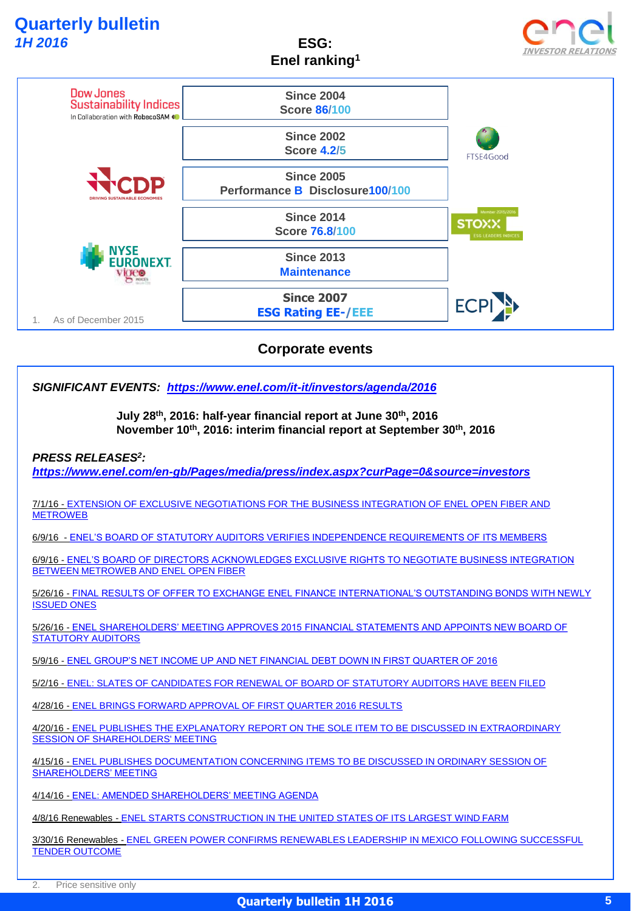**ESG: Enel ranking<sup>1</sup>**





*SIGNIFICANT EVENTS: <https://www.enel.com/it-it/investors/agenda/2016>*

**July 28th, 2016: half-year financial report at June 30th, 2016 November 10th, 2016: interim financial report at September 30th, 2016**

*PRESS RELEASES<sup>2</sup> :* 

*[https://www.enel.com/en-gb/Pages/media/press/index.aspx?curPage=0&source=investors](https://www.enel.com/it-it/investors/agenda/2016)*

7/1/16 - [EXTENSION OF EXCLUSIVE NEGOTIATIONS FOR THE BUSINESS INTEGRATION OF ENEL OPEN FIBER AND](https://www.enel.com/en-gb/Pages/media/press/detail.aspx?source=investors&id=951&title=EXTENSION OF EXCLUSIVE NEGOTIATIONS FOR THE BUSINESS INTEGRATION OF ENEL OPEN FIBER AND METROWEB &curPage=1)  **[METROWEB](https://www.enel.com/en-gb/Pages/media/press/detail.aspx?source=investors&id=951&title=EXTENSION OF EXCLUSIVE NEGOTIATIONS FOR THE BUSINESS INTEGRATION OF ENEL OPEN FIBER AND METROWEB &curPage=1)** 

6/9/16 - [ENEL'S BOARD OF STATUTORY AUDITORS VERIFIES INDEPENDENCE REQUIREMENTS OF ITS MEMBERS](https://www.enel.com/en-gb/Pages/media/press/detail.aspx?source=investors&id=949&title=ENEL%E2%80%99S BOARD OF STATUTORY AUDITORS VERIFIES INDEPENDENCE REQUIREMENTS OF ITS MEMBERS&curPage=1)

6/9/16 - [ENEL'S BOARD OF DIRECTORS ACKNOWLEDGES EXCLUSIVE RIGHTS TO NEGOTIATE BUSINESS INTEGRATION](https://www.enel.com/en-gb/Pages/media/press/detail.aspx?source=investors&id=950&title=ENEL%E2%80%99S BOARD OF DIRECTORS ACKNOWLEDGES EXCLUSIVE RIGHTS TO NEGOTIATE BUSINESS INTEGRATION BETWEEN METROWEB AND ENEL OPEN FIBER&curPage=1)  [BETWEEN METROWEB AND ENEL OPEN FIBER](https://www.enel.com/en-gb/Pages/media/press/detail.aspx?source=investors&id=950&title=ENEL%E2%80%99S BOARD OF DIRECTORS ACKNOWLEDGES EXCLUSIVE RIGHTS TO NEGOTIATE BUSINESS INTEGRATION BETWEEN METROWEB AND ENEL OPEN FIBER&curPage=1)

5/26/16 - [FINAL RESULTS OF OFFER TO EXCHANGE ENEL FINANCE INTERNATIONAL'S OUTSTANDING BONDS WITH NEWLY](https://www.enel.com/en-gb/Pages/media/press/detail.aspx?source=investors&id=947&title=FINAL RESULTS OF OFFER TO EXCHANGE ENEL FINANCE INTERNATIONAL%E2%80%99S OUTSTANDING BONDS WITH NEWLY ISSUED ONES&curPage=1)  [ISSUED ONES](https://www.enel.com/en-gb/Pages/media/press/detail.aspx?source=investors&id=947&title=FINAL RESULTS OF OFFER TO EXCHANGE ENEL FINANCE INTERNATIONAL%E2%80%99S OUTSTANDING BONDS WITH NEWLY ISSUED ONES&curPage=1)

5/26/16 - [ENEL SHAREHOLDERS' MEETING APPROVES 2015 FINANCIAL STATEMENTS AND APPOINTS NEW BOARD OF](https://www.enel.com/en-gb/Pages/media/press/detail.aspx?source=investors&id=948&title=ENEL SHAREHOLDERS%E2%80%99 MEETING APPROVES 2015 FINANCIAL STATEMENTS AND APPOINTS NEW BOARD OF STATUTORY AUDITORS&curPage=1)  **[STATUTORY AUDITORS](https://www.enel.com/en-gb/Pages/media/press/detail.aspx?source=investors&id=948&title=ENEL SHAREHOLDERS%E2%80%99 MEETING APPROVES 2015 FINANCIAL STATEMENTS AND APPOINTS NEW BOARD OF STATUTORY AUDITORS&curPage=1)** 

5/9/16 - [ENEL GROUP'S NET INCOME UP AND NET FINANCIAL DEBT DOWN IN FIRST QUARTER OF 2016](https://www.enel.com/en-gb/Pages/media/press/detail.aspx?source=investors&id=946&title=ENEL GROUP%E2%80%99S NET INCOME UP AND NET FINANCIAL DEBT DOWN IN FIRST QUARTER OF 2016&curPage=2)

5/2/16 - [ENEL: SLATES OF CANDIDATES FOR RENEWAL OF BOARD OF STATUTORY AUDITORS HAVE BEEN FILED](https://www.enel.com/en-gb/Pages/media/press/detail.aspx?source=investors&id=945&title=ENEL: SLATES OF CANDIDATES FOR RENEWAL OF BOARD OF STATUTORY AUDITORS HAVE BEEN FILED&curPage=2)

4/28/16 - [ENEL BRINGS FORWARD APPROVAL OF FIRST QUARTER 2016 RESULTS](https://www.enel.com/en-gb/Pages/media/press/detail.aspx?source=investors&id=944&title=ENEL BRINGS FORWARD APPROVAL OF FIRST QUARTER 2016 RESULTS&curPage=2)

4/20/16 - [ENEL PUBLISHES THE EXPLANATORY REPORT ON THE SOLE ITEM TO BE DISCUSSED IN EXTRAORDINARY](https://www.enel.com/en-gb/Pages/media/press/detail.aspx?source=investors&id=943&title=ENEL PUBLISHES THE EXPLANATORY REPORT ON THE SOLE ITEM TO BE DISCUSSED IN EXTRAORDINARY SESSION OF SHAREHOLDERS)  [SESSION OF SHAREHOLDERS' MEETING](https://www.enel.com/en-gb/Pages/media/press/detail.aspx?source=investors&id=943&title=ENEL PUBLISHES THE EXPLANATORY REPORT ON THE SOLE ITEM TO BE DISCUSSED IN EXTRAORDINARY SESSION OF SHAREHOLDERS)

4/15/16 - [ENEL PUBLISHES DOCUMENTATION CONCERNING ITEMS TO BE DISCUSSED IN ORDINARY SESSION OF](https://www.enel.com/en-gb/Pages/media/press/detail.aspx?source=investors&id=942&title=ENEL PUBLISHES DOCUMENTATION CONCERNING ITEMS TO BE DISCUSSED IN ORDINARY SESSION OF SHAREHOLDERS%E2%80%99 MEETING&curPage=2)  [SHAREHOLDERS' MEETING](https://www.enel.com/en-gb/Pages/media/press/detail.aspx?source=investors&id=942&title=ENEL PUBLISHES DOCUMENTATION CONCERNING ITEMS TO BE DISCUSSED IN ORDINARY SESSION OF SHAREHOLDERS%E2%80%99 MEETING&curPage=2)

4/14/16 - [ENEL: AMENDED SHAREHOLDERS' MEETING AGENDA](https://www.enel.com/en-gb/Pages/media/press/detail.aspx?source=investors&id=941&title=ENEL: AMENDED SHAREHOLDERS%E2%80%99 MEETING AGENDA &curPage=3)

4/8/16 Renewables - [ENEL STARTS CONSTRUCTION IN THE UNITED STATES OF ITS LARGEST WIND FARM](https://www.enel.com/en-gb/Pages/media/press/detail.aspx?source=investors&id=940&title=ENEL STARTS CONSTRUCTION IN THE UNITED STATES OF ITS LARGEST WIND FARM &curPage=3)

3/30/16 Renewables - [ENEL GREEN POWER CONFIRMS RENEWABLES LEADERSHIP IN MEXICO FOLLOWING SUCCESSFUL](https://www.enel.com/en-gb/Pages/media/press/detail.aspx?source=investors&id=939&title=ENEL GREEN POWER CONFIRMS RENEWABLES LEADERSHIP IN MEXICO FOLLOWING SUCCESSFUL TENDER OUTCOME&curPage=3)  [TENDER OUTCOME](https://www.enel.com/en-gb/Pages/media/press/detail.aspx?source=investors&id=939&title=ENEL GREEN POWER CONFIRMS RENEWABLES LEADERSHIP IN MEXICO FOLLOWING SUCCESSFUL TENDER OUTCOME&curPage=3)